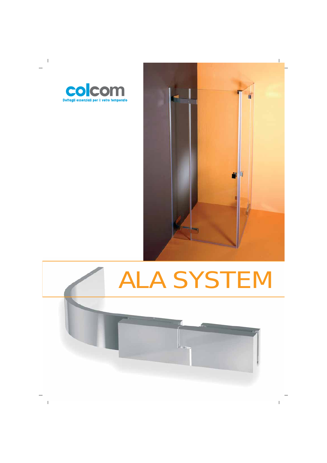



# ALA SYSTEM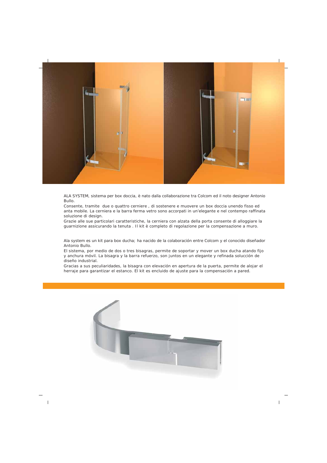

ALA SYSTEM, sistema per box doccia, è nato dalla collaborazione tra Colcom ed il noto designer Antonio Bullo.

Consente, tramite due o quattro cerniere , di sostenere e muovere un box doccia unendo fisso ed anta mobile. La cerniera e la barra ferma vetro sono accorpati in un'elegante e nel contempo raffinata soluzione di design.

Grazie alle sue particolari caratteristiche, la cerniera con alzata della porta consente di alloggiare la guarnizione assicurando la tenuta . Il kit è completo di regolazione per la compensazione a muro.

*Ala system es un kit para box ducha; ha nacido de la colaboración entre Colcom y el conocido diseñador Antonio Bullo.*

*El sistema, por medio de dos o tres bisagras, permite de soportar y mover un box ducha atando fijo y anchura móvil. La bisagra y la barra refuerzo, son juntos en un elegante y refinada solucción de diseño industrial.*

*Gracias a sus peculiaridades, la bisagra con elevación en apertura de la puerta, permite de alojar el herraje para garantizar el estanco. El kit es encluido de ajuste para la compensación a pared.*

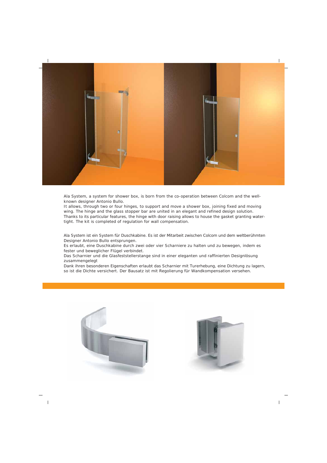

Ala System, a system for shower box, is born from the co-operation between Colcom and the wellknown designer Antonio Bullo.

It allows, through two or four hinges, to support and move a shower box, joining fixed and moving wing. The hinge and the glass stopper bar are united in an elegant and refined design solution. Thanks to its particular features, the hinge with door raising allows to house the gasket granting watertight. The kit is completed of regulation for wall compensation.

*Ala System ist ein System für Duschkabine. Es ist der Mitarbeit zwischen Colcom und dem weltberühmten Designer Antonio Bullo entsprungen.*

*Es erlaubt, eine Duschkabine durch zwei oder vier Scharniere zu halten und zu bewegen, indem es fester und beweglicher Flügel verbindet.*

*Das Scharnier und die Glasfeststellerstange sind in einer eleganten und raffinierten Designlösung zusammengelegt*

*Dank ihren besonderen Eigenschaften erlaubt das Scharnier mit Turerhebung, eine Dichtung zu lagern, so ist die Dichte versichert. Der Bausatz ist mit Regolierung für Wandkompensation versehen.*



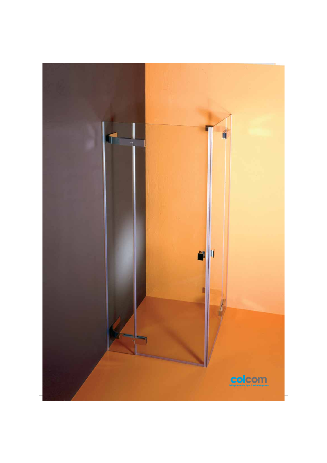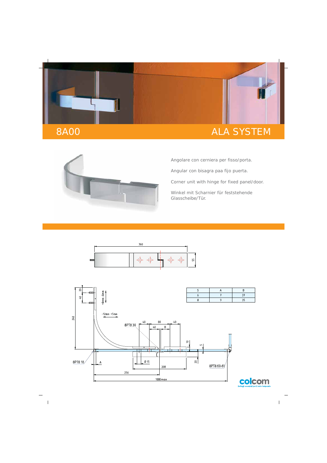



Angolare con cerniera per fisso/porta.

Angular con bisagra paa fijo puerta.

Corner unit with hinge for fixed panel/door.

Winkel mit Scharnier für feststehende Glasscheibe/Tür.



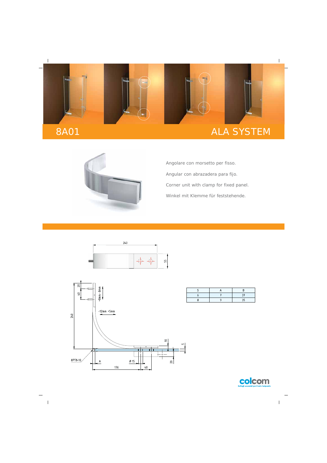



Angolare con morsetto per fisso. Angular con abrazadera para fijo. Corner unit with clamp for fixed panel. Winkel mit Klemme für feststehende.





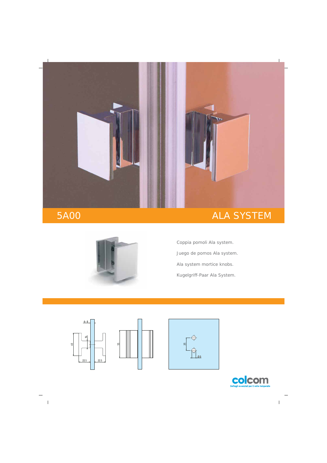



## 5A00 ALA SYSTEM

Coppia pomoli Ala system. Juego de pomos Ala system. Ala system mortice knobs. Kugelgriff-Paar Ala System.